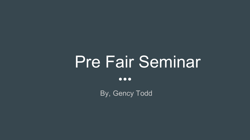# Pre Fair Seminar

 $\bullet\bullet\bullet$ 

By, Gency Todd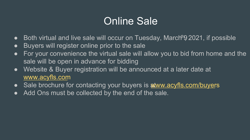## Online Sale

- $\bullet$  Both virtual and live sale will occur on Tuesday, March  $92021$ , if possible
- Buyers will register online prior to the sale
- For your convenience the virtual sale will allow you to bid from home and the sale will be open in advance for bidding
- Website & Buyer registration will be announced at a later date at [www.acyfls.com](http://www.acyfls.com)
- Sale brochure for contacting your buyers is **a tww.acyfls.com/buyers**
- Add Ons must be collected by the end of the sale.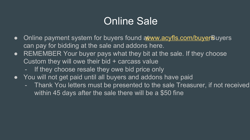## Online Sale

- Online payment system for buyers found a tww.acyfls.com/buyer Buyers can pay for bidding at the sale and addons here.
- REMEMBER Your buyer pays what they bit at the sale. If they choose Custom they will owe their bid + carcass value
	- If they choose resale they owe bid price only
- You will not get paid until all buyers and addons have paid
	- Thank You letters must be presented to the sale Treasurer, if not received within 45 days after the sale there will be a \$50 fine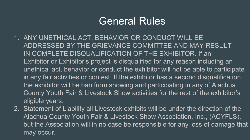#### General Rules

- 1. ANY UNETHICAL ACT, BEHAVIOR OR CONDUCT WILL BE ADDRESSED BY THE GRIEVANCE COMMITTEE AND MAY RESULT IN COMPLETE DISQUALIFICATION OF THE EXHIBITOR. If an Exhibitor or Exhibitor's project is disqualified for any reason including an unethical act, behavior or conduct the exhibitor will not be able to participate in any fair activities or contest. If the exhibitor has a second disqualification the exhibitor will be ban from showing and participating in any of Alachua County Youth Fair & Livestock Show activities for the rest of the exhibitor's eligible years.
- 2. Statement of Liability all Livestock exhibits will be under the direction of the Alachua County Youth Fair & Livestock Show Association, Inc., (ACYFLS), but the Association will in no case be responsible for any loss of damage that may occur.